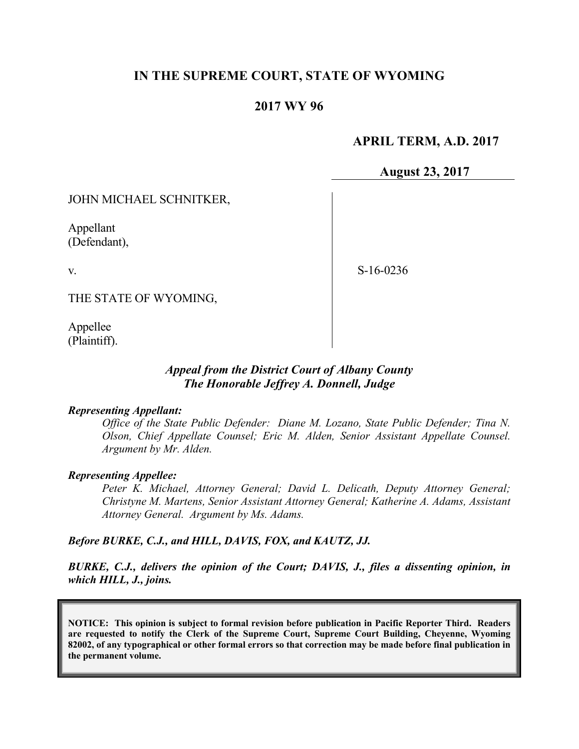# **IN THE SUPREME COURT, STATE OF WYOMING**

## **2017 WY 96**

#### **APRIL TERM, A.D. 2017**

**August 23, 2017**

#### JOHN MICHAEL SCHNITKER,

Appellant (Defendant),

v.

S-16-0236

THE STATE OF WYOMING,

Appellee (Plaintiff).

### *Appeal from the District Court of Albany County The Honorable Jeffrey A. Donnell, Judge*

#### *Representing Appellant:*

*Office of the State Public Defender: Diane M. Lozano, State Public Defender; Tina N. Olson, Chief Appellate Counsel; Eric M. Alden, Senior Assistant Appellate Counsel. Argument by Mr. Alden.*

#### *Representing Appellee:*

*Peter K. Michael, Attorney General; David L. Delicath, Deputy Attorney General; Christyne M. Martens, Senior Assistant Attorney General; Katherine A. Adams, Assistant Attorney General. Argument by Ms. Adams.*

#### *Before BURKE, C.J., and HILL, DAVIS, FOX, and KAUTZ, JJ.*

*BURKE, C.J., delivers the opinion of the Court; DAVIS, J., files a dissenting opinion, in which HILL, J., joins.*

**NOTICE: This opinion is subject to formal revision before publication in Pacific Reporter Third. Readers are requested to notify the Clerk of the Supreme Court, Supreme Court Building, Cheyenne, Wyoming 82002, of any typographical or other formal errors so that correction may be made before final publication in the permanent volume.**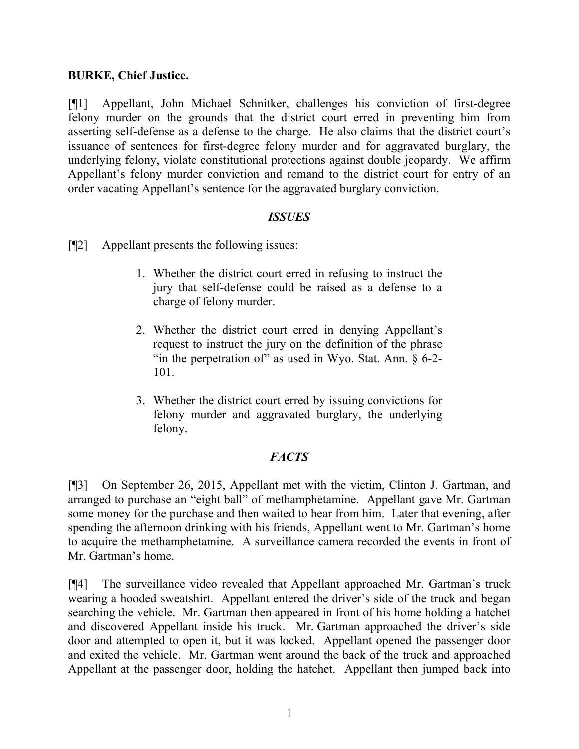### **BURKE, Chief Justice.**

[¶1] Appellant, John Michael Schnitker, challenges his conviction of first-degree felony murder on the grounds that the district court erred in preventing him from asserting self-defense as a defense to the charge. He also claims that the district court's issuance of sentences for first-degree felony murder and for aggravated burglary, the underlying felony, violate constitutional protections against double jeopardy. We affirm Appellant's felony murder conviction and remand to the district court for entry of an order vacating Appellant's sentence for the aggravated burglary conviction.

### *ISSUES*

[¶2] Appellant presents the following issues:

- 1. Whether the district court erred in refusing to instruct the jury that self-defense could be raised as a defense to a charge of felony murder.
- 2. Whether the district court erred in denying Appellant's request to instruct the jury on the definition of the phrase "in the perpetration of" as used in Wyo. Stat. Ann.  $\S$  6-2-101.
- 3. Whether the district court erred by issuing convictions for felony murder and aggravated burglary, the underlying felony.

# *FACTS*

[¶3] On September 26, 2015, Appellant met with the victim, Clinton J. Gartman, and arranged to purchase an "eight ball" of methamphetamine. Appellant gave Mr. Gartman some money for the purchase and then waited to hear from him. Later that evening, after spending the afternoon drinking with his friends, Appellant went to Mr. Gartman's home to acquire the methamphetamine. A surveillance camera recorded the events in front of Mr. Gartman's home.

[¶4] The surveillance video revealed that Appellant approached Mr. Gartman's truck wearing a hooded sweatshirt. Appellant entered the driver's side of the truck and began searching the vehicle. Mr. Gartman then appeared in front of his home holding a hatchet and discovered Appellant inside his truck. Mr. Gartman approached the driver's side door and attempted to open it, but it was locked. Appellant opened the passenger door and exited the vehicle. Mr. Gartman went around the back of the truck and approached Appellant at the passenger door, holding the hatchet. Appellant then jumped back into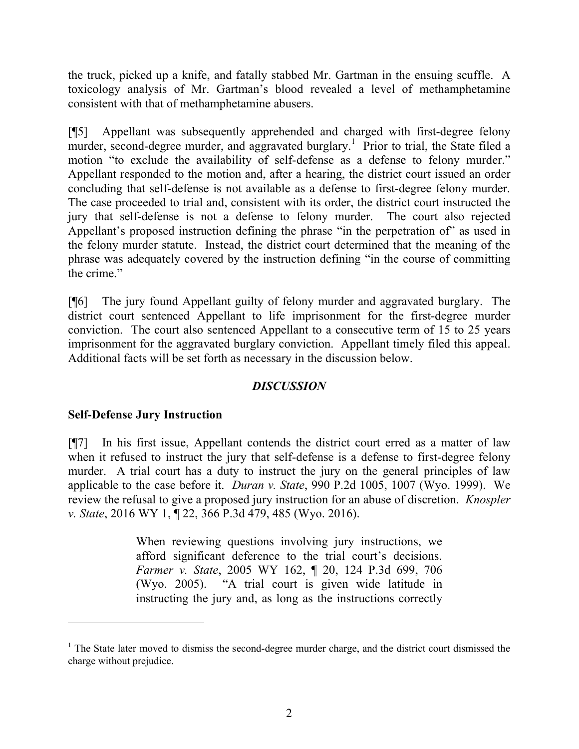the truck, picked up a knife, and fatally stabbed Mr. Gartman in the ensuing scuffle. A toxicology analysis of Mr. Gartman's blood revealed a level of methamphetamine consistent with that of methamphetamine abusers.

[¶5] Appellant was subsequently apprehended and charged with first-degree felony murder, second-degree murder, and aggravated burglary.<sup>1</sup> Prior to trial, the State filed a motion "to exclude the availability of self-defense as a defense to felony murder." Appellant responded to the motion and, after a hearing, the district court issued an order concluding that self-defense is not available as a defense to first-degree felony murder. The case proceeded to trial and, consistent with its order, the district court instructed the jury that self-defense is not a defense to felony murder. The court also rejected Appellant's proposed instruction defining the phrase "in the perpetration of" as used in the felony murder statute. Instead, the district court determined that the meaning of the phrase was adequately covered by the instruction defining "in the course of committing the crime."

[¶6] The jury found Appellant guilty of felony murder and aggravated burglary. The district court sentenced Appellant to life imprisonment for the first-degree murder conviction. The court also sentenced Appellant to a consecutive term of 15 to 25 years imprisonment for the aggravated burglary conviction. Appellant timely filed this appeal. Additional facts will be set forth as necessary in the discussion below.

# *DISCUSSION*

# **Self-Defense Jury Instruction**

[¶7] In his first issue, Appellant contends the district court erred as a matter of law when it refused to instruct the jury that self-defense is a defense to first-degree felony murder. A trial court has a duty to instruct the jury on the general principles of law applicable to the case before it. *Duran v. State*, 990 P.2d 1005, 1007 (Wyo. 1999). We review the refusal to give a proposed jury instruction for an abuse of discretion. *Knospler v. State*, 2016 WY 1, ¶ 22, 366 P.3d 479, 485 (Wyo. 2016).

> When reviewing questions involving jury instructions, we afford significant deference to the trial court's decisions. *Farmer v. State*, 2005 WY 162, ¶ 20, 124 P.3d 699, 706 (Wyo. 2005). "A trial court is given wide latitude in instructing the jury and, as long as the instructions correctly

 $1$ . The State later moved to dismiss the second-degree murder charge, and the district court dismissed the charge without prejudice.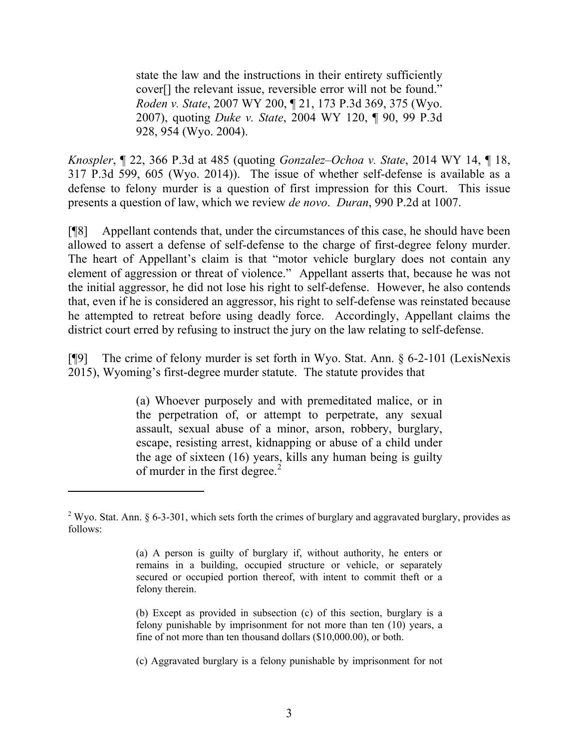state the law and the instructions in their entirety sufficiently cover[] the relevant issue, reversible error will not be found." *Roden v. State*, 2007 WY 200, ¶ 21, 173 P.3d 369, 375 (Wyo. 2007), quoting *Duke v. State*, 2004 WY 120, ¶ 90, 99 P.3d 928, 954 (Wyo. 2004).

*Knospler*, ¶ 22, 366 P.3d at 485 (quoting *Gonzalez–Ochoa v. State*, 2014 WY 14, ¶ 18, 317 P.3d 599, 605 (Wyo. 2014)). The issue of whether self-defense is available as a defense to felony murder is a question of first impression for this Court. This issue presents a question of law, which we review *de novo*. *Duran*, 990 P.2d at 1007.

[¶8] Appellant contends that, under the circumstances of this case, he should have been allowed to assert a defense of self-defense to the charge of first-degree felony murder. The heart of Appellant's claim is that "motor vehicle burglary does not contain any element of aggression or threat of violence." Appellant asserts that, because he was not the initial aggressor, he did not lose his right to self-defense. However, he also contends that, even if he is considered an aggressor, his right to self-defense was reinstated because he attempted to retreat before using deadly force. Accordingly, Appellant claims the district court erred by refusing to instruct the jury on the law relating to self-defense.

[¶9] The crime of felony murder is set forth in Wyo. Stat. Ann. § 6-2-101 (LexisNexis 2015), Wyoming's first-degree murder statute. The statute provides that

> (a) Whoever purposely and with premeditated malice, or in the perpetration of, or attempt to perpetrate, any sexual assault, sexual abuse of a minor, arson, robbery, burglary, escape, resisting arrest, kidnapping or abuse of a child under the age of sixteen (16) years, kills any human being is guilty of murder in the first degree. $<sup>2</sup>$ </sup>

<sup>&</sup>lt;sup>2</sup> Wyo. Stat. Ann. § 6-3-301, which sets forth the crimes of burglary and aggravated burglary, provides as follows:

<sup>(</sup>a) A person is guilty of burglary if, without authority, he enters or remains in a building, occupied structure or vehicle, or separately secured or occupied portion thereof, with intent to commit theft or a felony therein.

<sup>(</sup>b) Except as provided in subsection (c) of this section, burglary is a felony punishable by imprisonment for not more than ten (10) years, a fine of not more than ten thousand dollars (\$10,000.00), or both.

<sup>(</sup>c) Aggravated burglary is a felony punishable by imprisonment for not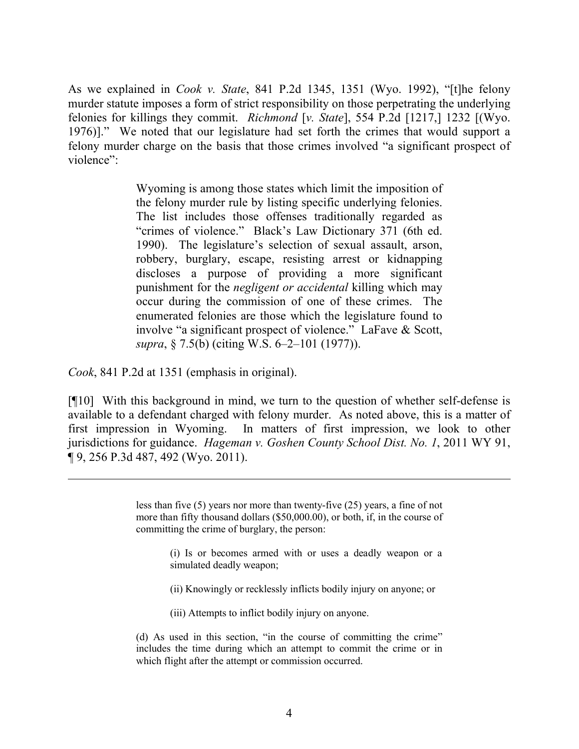As we explained in *Cook v. State*, 841 P.2d 1345, 1351 (Wyo. 1992), "[t]he felony murder statute imposes a form of strict responsibility on those perpetrating the underlying felonies for killings they commit. *Richmond* [*v. State*], 554 P.2d [1217,] 1232 [(Wyo. 1976)]." We noted that our legislature had set forth the crimes that would support a felony murder charge on the basis that those crimes involved "a significant prospect of violence"<sup>.</sup>

> Wyoming is among those states which limit the imposition of the felony murder rule by listing specific underlying felonies. The list includes those offenses traditionally regarded as "crimes of violence." Black's Law Dictionary 371 (6th ed. 1990). The legislature's selection of sexual assault, arson, robbery, burglary, escape, resisting arrest or kidnapping discloses a purpose of providing a more significant punishment for the *negligent or accidental* killing which may occur during the commission of one of these crimes. The enumerated felonies are those which the legislature found to involve "a significant prospect of violence." LaFave & Scott, *supra*, § 7.5(b) (citing W.S. 6–2–101 (1977)).

*Cook*, 841 P.2d at 1351 (emphasis in original).

[¶10] With this background in mind, we turn to the question of whether self-defense is available to a defendant charged with felony murder. As noted above, this is a matter of first impression in Wyoming. In matters of first impression, we look to other jurisdictions for guidance. *Hageman v. Goshen County School Dist. No. 1*, 2011 WY 91, ¶ 9, 256 P.3d 487, 492 (Wyo. 2011).

> less than five (5) years nor more than twenty-five (25) years, a fine of not more than fifty thousand dollars (\$50,000.00), or both, if, in the course of committing the crime of burglary, the person:

> > (i) Is or becomes armed with or uses a deadly weapon or a simulated deadly weapon;

(ii) Knowingly or recklessly inflicts bodily injury on anyone; or

(iii) Attempts to inflict bodily injury on anyone.

(d) As used in this section, "in the course of committing the crime" includes the time during which an attempt to commit the crime or in which flight after the attempt or commission occurred.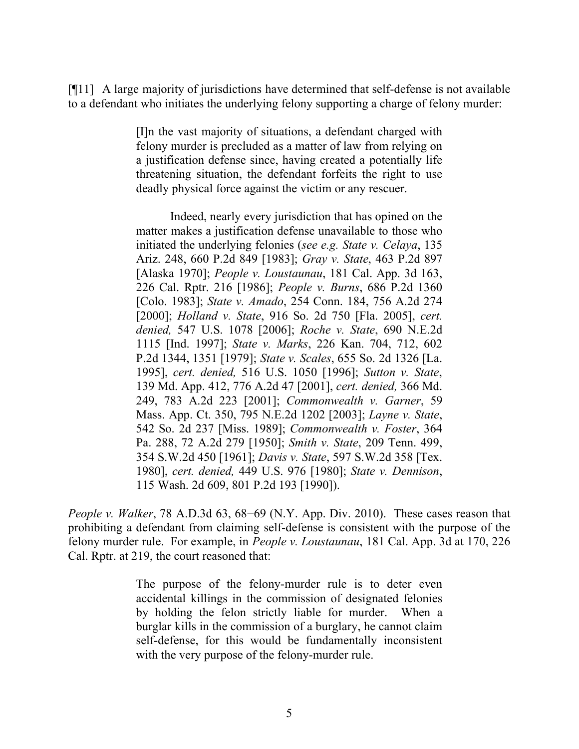[¶11] A large majority of jurisdictions have determined that self-defense is not available to a defendant who initiates the underlying felony supporting a charge of felony murder:

> [I]n the vast majority of situations, a defendant charged with felony murder is precluded as a matter of law from relying on a justification defense since, having created a potentially life threatening situation, the defendant forfeits the right to use deadly physical force against the victim or any rescuer.

> Indeed, nearly every jurisdiction that has opined on the matter makes a justification defense unavailable to those who initiated the underlying felonies (*see e.g. State v. Celaya*, 135 Ariz. 248, 660 P.2d 849 [1983]; *Gray v. State*, 463 P.2d 897 [Alaska 1970]; *People v. Loustaunau*, 181 Cal. App. 3d 163, 226 Cal. Rptr. 216 [1986]; *People v. Burns*, 686 P.2d 1360 [Colo. 1983]; *State v. Amado*, 254 Conn. 184, 756 A.2d 274 [2000]; *Holland v. State*, 916 So. 2d 750 [Fla. 2005], *cert. denied,* 547 U.S. 1078 [2006]; *Roche v. State*, 690 N.E.2d 1115 [Ind. 1997]; *State v. Marks*, 226 Kan. 704, 712, 602 P.2d 1344, 1351 [1979]; *State v. Scales*, 655 So. 2d 1326 [La. 1995], *cert. denied,* 516 U.S. 1050 [1996]; *Sutton v. State*, 139 Md. App. 412, 776 A.2d 47 [2001], *cert. denied,* 366 Md. 249, 783 A.2d 223 [2001]; *Commonwealth v. Garner*, 59 Mass. App. Ct. 350, 795 N.E.2d 1202 [2003]; *Layne v. State*, 542 So. 2d 237 [Miss. 1989]; *Commonwealth v. Foster*, 364 Pa. 288, 72 A.2d 279 [1950]; *Smith v. State*, 209 Tenn. 499, 354 S.W.2d 450 [1961]; *Davis v. State*, 597 S.W.2d 358 [Tex. 1980], *cert. denied,* 449 U.S. 976 [1980]; *State v. Dennison*, 115 Wash. 2d 609, 801 P.2d 193 [1990]).

*People v. Walker*, 78 A.D.3d 63, 68–69 (N.Y. App. Div. 2010). These cases reason that prohibiting a defendant from claiming self-defense is consistent with the purpose of the felony murder rule. For example, in *People v. Loustaunau*, 181 Cal. App. 3d at 170, 226 Cal. Rptr. at 219, the court reasoned that:

> The purpose of the felony-murder rule is to deter even accidental killings in the commission of designated felonies by holding the felon strictly liable for murder. When a burglar kills in the commission of a burglary, he cannot claim self-defense, for this would be fundamentally inconsistent with the very purpose of the felony-murder rule.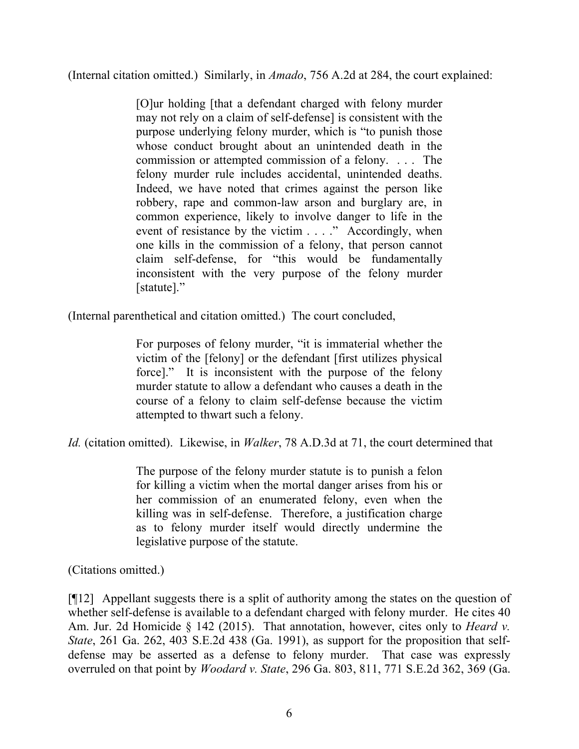(Internal citation omitted.) Similarly, in *Amado*, 756 A.2d at 284, the court explained:

[O]ur holding [that a defendant charged with felony murder may not rely on a claim of self-defense] is consistent with the purpose underlying felony murder, which is "to punish those whose conduct brought about an unintended death in the commission or attempted commission of a felony. . . . The felony murder rule includes accidental, unintended deaths. Indeed, we have noted that crimes against the person like robbery, rape and common-law arson and burglary are, in common experience, likely to involve danger to life in the event of resistance by the victim . . . ." Accordingly, when one kills in the commission of a felony, that person cannot claim self-defense, for "this would be fundamentally inconsistent with the very purpose of the felony murder [statute]."

(Internal parenthetical and citation omitted.) The court concluded,

For purposes of felony murder, "it is immaterial whether the victim of the [felony] or the defendant [first utilizes physical force]." It is inconsistent with the purpose of the felony murder statute to allow a defendant who causes a death in the course of a felony to claim self-defense because the victim attempted to thwart such a felony.

*Id.* (citation omitted). Likewise, in *Walker*, 78 A.D.3d at 71, the court determined that

The purpose of the felony murder statute is to punish a felon for killing a victim when the mortal danger arises from his or her commission of an enumerated felony, even when the killing was in self-defense. Therefore, a justification charge as to felony murder itself would directly undermine the legislative purpose of the statute.

(Citations omitted.)

[¶12] Appellant suggests there is a split of authority among the states on the question of whether self-defense is available to a defendant charged with felony murder. He cites 40 Am. Jur. 2d Homicide § 142 (2015). That annotation, however, cites only to *Heard v. State*, 261 Ga. 262, 403 S.E.2d 438 (Ga. 1991), as support for the proposition that selfdefense may be asserted as a defense to felony murder. That case was expressly overruled on that point by *Woodard v. State*, 296 Ga. 803, 811, 771 S.E.2d 362, 369 (Ga.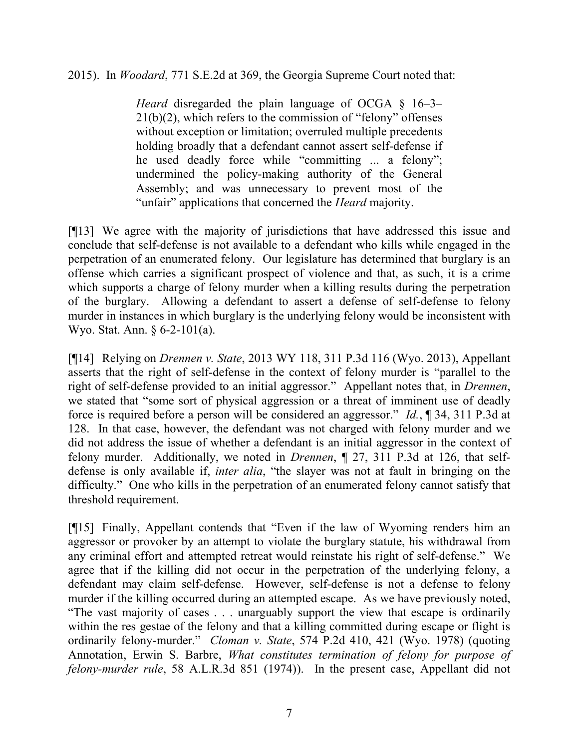2015). In *Woodard*, 771 S.E.2d at 369, the Georgia Supreme Court noted that:

*Heard* disregarded the plain language of OCGA § 16–3– 21(b)(2), which refers to the commission of "felony" offenses without exception or limitation; overruled multiple precedents holding broadly that a defendant cannot assert self-defense if he used deadly force while "committing ... a felony"; undermined the policy-making authority of the General Assembly; and was unnecessary to prevent most of the "unfair" applications that concerned the *Heard* majority.

[¶13] We agree with the majority of jurisdictions that have addressed this issue and conclude that self-defense is not available to a defendant who kills while engaged in the perpetration of an enumerated felony. Our legislature has determined that burglary is an offense which carries a significant prospect of violence and that, as such, it is a crime which supports a charge of felony murder when a killing results during the perpetration of the burglary. Allowing a defendant to assert a defense of self-defense to felony murder in instances in which burglary is the underlying felony would be inconsistent with Wyo. Stat. Ann. § 6-2-101(a).

[¶14] Relying on *Drennen v. State*, 2013 WY 118, 311 P.3d 116 (Wyo. 2013), Appellant asserts that the right of self-defense in the context of felony murder is "parallel to the right of self-defense provided to an initial aggressor." Appellant notes that, in *Drennen*, we stated that "some sort of physical aggression or a threat of imminent use of deadly force is required before a person will be considered an aggressor." *Id.*, ¶ 34, 311 P.3d at 128. In that case, however, the defendant was not charged with felony murder and we did not address the issue of whether a defendant is an initial aggressor in the context of felony murder. Additionally, we noted in *Drennen*, ¶ 27, 311 P.3d at 126, that selfdefense is only available if, *inter alia*, "the slayer was not at fault in bringing on the difficulty." One who kills in the perpetration of an enumerated felony cannot satisfy that threshold requirement.

[¶15] Finally, Appellant contends that "Even if the law of Wyoming renders him an aggressor or provoker by an attempt to violate the burglary statute, his withdrawal from any criminal effort and attempted retreat would reinstate his right of self-defense." We agree that if the killing did not occur in the perpetration of the underlying felony, a defendant may claim self-defense. However, self-defense is not a defense to felony murder if the killing occurred during an attempted escape. As we have previously noted, "The vast majority of cases . . . unarguably support the view that escape is ordinarily within the res gestae of the felony and that a killing committed during escape or flight is ordinarily felony-murder." *Cloman v. State*, 574 P.2d 410, 421 (Wyo. 1978) (quoting Annotation, Erwin S. Barbre, *What constitutes termination of felony for purpose of felony-murder rule*, 58 A.L.R.3d 851 (1974)). In the present case, Appellant did not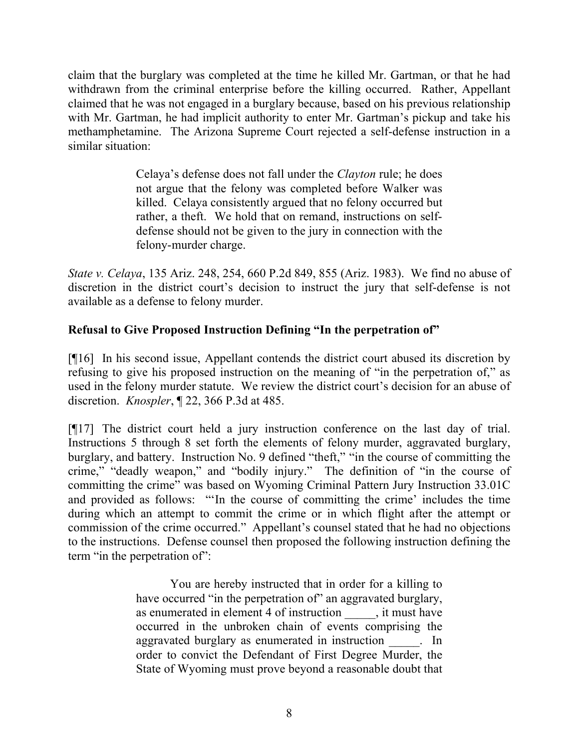claim that the burglary was completed at the time he killed Mr. Gartman, or that he had withdrawn from the criminal enterprise before the killing occurred. Rather, Appellant claimed that he was not engaged in a burglary because, based on his previous relationship with Mr. Gartman, he had implicit authority to enter Mr. Gartman's pickup and take his methamphetamine. The Arizona Supreme Court rejected a self-defense instruction in a similar situation:

> Celaya's defense does not fall under the *Clayton* rule; he does not argue that the felony was completed before Walker was killed. Celaya consistently argued that no felony occurred but rather, a theft. We hold that on remand, instructions on selfdefense should not be given to the jury in connection with the felony-murder charge.

*State v. Celaya*, 135 Ariz. 248, 254, 660 P.2d 849, 855 (Ariz. 1983). We find no abuse of discretion in the district court's decision to instruct the jury that self-defense is not available as a defense to felony murder.

# **Refusal to Give Proposed Instruction Defining "In the perpetration of"**

[¶16] In his second issue, Appellant contends the district court abused its discretion by refusing to give his proposed instruction on the meaning of "in the perpetration of," as used in the felony murder statute. We review the district court's decision for an abuse of discretion. *Knospler*, ¶ 22, 366 P.3d at 485.

[¶17] The district court held a jury instruction conference on the last day of trial. Instructions 5 through 8 set forth the elements of felony murder, aggravated burglary, burglary, and battery. Instruction No. 9 defined "theft," "in the course of committing the crime," "deadly weapon," and "bodily injury." The definition of "in the course of committing the crime" was based on Wyoming Criminal Pattern Jury Instruction 33.01C and provided as follows: "'In the course of committing the crime' includes the time during which an attempt to commit the crime or in which flight after the attempt or commission of the crime occurred." Appellant's counsel stated that he had no objections to the instructions. Defense counsel then proposed the following instruction defining the term "in the perpetration of":

> You are hereby instructed that in order for a killing to have occurred "in the perpetration of" an aggravated burglary, as enumerated in element 4 of instruction \_\_\_\_\_, it must have occurred in the unbroken chain of events comprising the aggravated burglary as enumerated in instruction . In order to convict the Defendant of First Degree Murder, the State of Wyoming must prove beyond a reasonable doubt that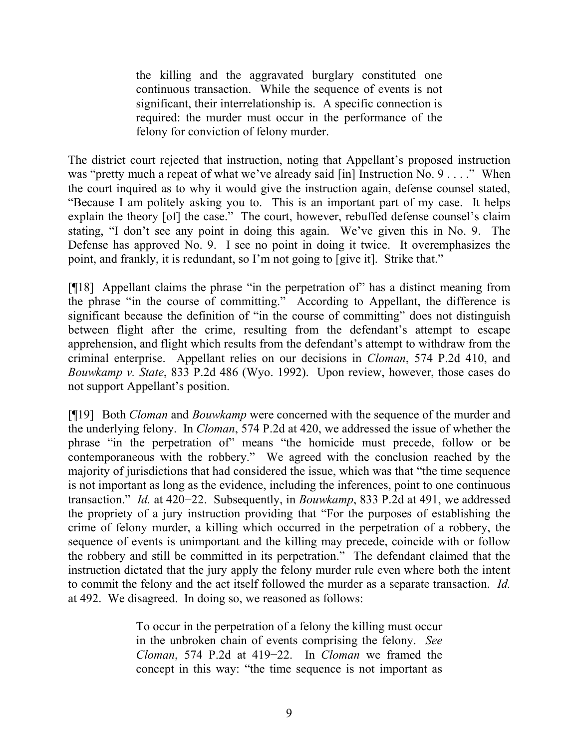the killing and the aggravated burglary constituted one continuous transaction. While the sequence of events is not significant, their interrelationship is. A specific connection is required: the murder must occur in the performance of the felony for conviction of felony murder.

The district court rejected that instruction, noting that Appellant's proposed instruction was "pretty much a repeat of what we've already said [in] Instruction No. 9 . . . ." When the court inquired as to why it would give the instruction again, defense counsel stated, "Because I am politely asking you to. This is an important part of my case. It helps explain the theory [of] the case." The court, however, rebuffed defense counsel's claim stating, "I don't see any point in doing this again. We've given this in No. 9. The Defense has approved No. 9. I see no point in doing it twice. It overemphasizes the point, and frankly, it is redundant, so I'm not going to [give it]. Strike that."

[¶18] Appellant claims the phrase "in the perpetration of" has a distinct meaning from the phrase "in the course of committing." According to Appellant, the difference is significant because the definition of "in the course of committing" does not distinguish between flight after the crime, resulting from the defendant's attempt to escape apprehension, and flight which results from the defendant's attempt to withdraw from the criminal enterprise. Appellant relies on our decisions in *Cloman*, 574 P.2d 410, and *Bouwkamp v. State*, 833 P.2d 486 (Wyo. 1992). Upon review, however, those cases do not support Appellant's position.

[¶19] Both *Cloman* and *Bouwkamp* were concerned with the sequence of the murder and the underlying felony. In *Cloman*, 574 P.2d at 420, we addressed the issue of whether the phrase "in the perpetration of" means "the homicide must precede, follow or be contemporaneous with the robbery." We agreed with the conclusion reached by the majority of jurisdictions that had considered the issue, which was that "the time sequence is not important as long as the evidence, including the inferences, point to one continuous transaction." *Id.* at 420−22. Subsequently, in *Bouwkamp*, 833 P.2d at 491, we addressed the propriety of a jury instruction providing that "For the purposes of establishing the crime of felony murder, a killing which occurred in the perpetration of a robbery, the sequence of events is unimportant and the killing may precede, coincide with or follow the robbery and still be committed in its perpetration." The defendant claimed that the instruction dictated that the jury apply the felony murder rule even where both the intent to commit the felony and the act itself followed the murder as a separate transaction. *Id.* at 492. We disagreed. In doing so, we reasoned as follows:

> To occur in the perpetration of a felony the killing must occur in the unbroken chain of events comprising the felony. *See Cloman*, 574 P.2d at 419−22. In *Cloman* we framed the concept in this way: "the time sequence is not important as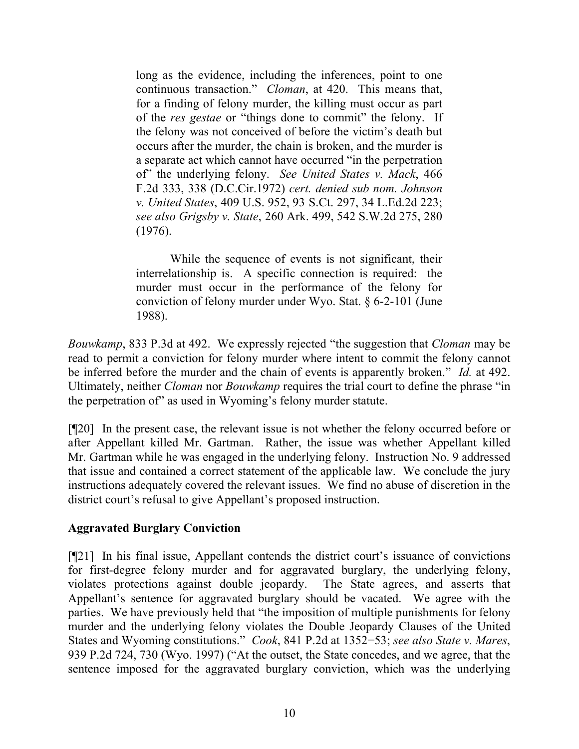long as the evidence, including the inferences, point to one continuous transaction." *Cloman*, at 420. This means that, for a finding of felony murder, the killing must occur as part of the *res gestae* or "things done to commit" the felony. If the felony was not conceived of before the victim's death but occurs after the murder, the chain is broken, and the murder is a separate act which cannot have occurred "in the perpetration of" the underlying felony. *See United States v. Mack*, 466 F.2d 333, 338 (D.C.Cir.1972) *cert. denied sub nom. Johnson v. United States*, 409 U.S. 952, 93 S.Ct. 297, 34 L.Ed.2d 223; *see also Grigsby v. State*, 260 Ark. 499, 542 S.W.2d 275, 280 (1976).

While the sequence of events is not significant, their interrelationship is. A specific connection is required: the murder must occur in the performance of the felony for conviction of felony murder under Wyo. Stat. § 6-2-101 (June 1988).

*Bouwkamp*, 833 P.3d at 492. We expressly rejected "the suggestion that *Cloman* may be read to permit a conviction for felony murder where intent to commit the felony cannot be inferred before the murder and the chain of events is apparently broken." *Id.* at 492. Ultimately, neither *Cloman* nor *Bouwkamp* requires the trial court to define the phrase "in the perpetration of" as used in Wyoming's felony murder statute.

[¶20] In the present case, the relevant issue is not whether the felony occurred before or after Appellant killed Mr. Gartman. Rather, the issue was whether Appellant killed Mr. Gartman while he was engaged in the underlying felony. Instruction No. 9 addressed that issue and contained a correct statement of the applicable law. We conclude the jury instructions adequately covered the relevant issues. We find no abuse of discretion in the district court's refusal to give Appellant's proposed instruction.

# **Aggravated Burglary Conviction**

[¶21] In his final issue, Appellant contends the district court's issuance of convictions for first-degree felony murder and for aggravated burglary, the underlying felony, violates protections against double jeopardy. The State agrees, and asserts that Appellant's sentence for aggravated burglary should be vacated. We agree with the parties. We have previously held that "the imposition of multiple punishments for felony murder and the underlying felony violates the Double Jeopardy Clauses of the United States and Wyoming constitutions." *Cook*, 841 P.2d at 1352−53; *see also State v. Mares*, 939 P.2d 724, 730 (Wyo. 1997) ("At the outset, the State concedes, and we agree, that the sentence imposed for the aggravated burglary conviction, which was the underlying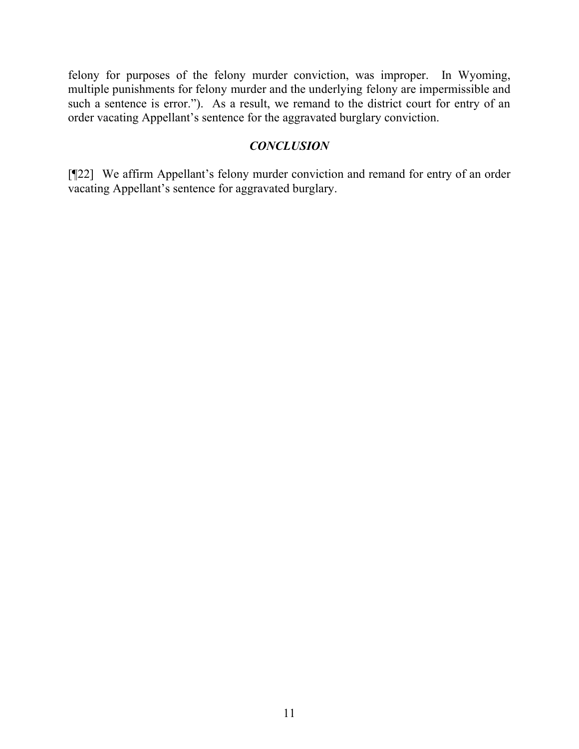felony for purposes of the felony murder conviction, was improper. In Wyoming, multiple punishments for felony murder and the underlying felony are impermissible and such a sentence is error."). As a result, we remand to the district court for entry of an order vacating Appellant's sentence for the aggravated burglary conviction.

## *CONCLUSION*

[¶22] We affirm Appellant's felony murder conviction and remand for entry of an order vacating Appellant's sentence for aggravated burglary.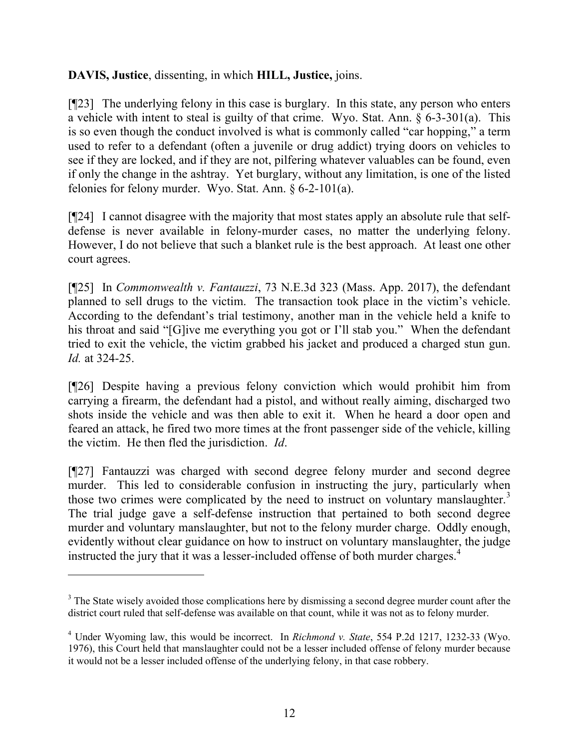# **DAVIS, Justice**, dissenting, in which **HILL, Justice,** joins.

[¶23] The underlying felony in this case is burglary. In this state, any person who enters a vehicle with intent to steal is guilty of that crime. Wyo. Stat. Ann. § 6-3-301(a). This is so even though the conduct involved is what is commonly called "car hopping," a term used to refer to a defendant (often a juvenile or drug addict) trying doors on vehicles to see if they are locked, and if they are not, pilfering whatever valuables can be found, even if only the change in the ashtray. Yet burglary, without any limitation, is one of the listed felonies for felony murder. Wyo. Stat. Ann. § 6-2-101(a).

[¶24] I cannot disagree with the majority that most states apply an absolute rule that selfdefense is never available in felony-murder cases, no matter the underlying felony. However, I do not believe that such a blanket rule is the best approach. At least one other court agrees.

[¶25] In *Commonwealth v. Fantauzzi*, 73 N.E.3d 323 (Mass. App. 2017), the defendant planned to sell drugs to the victim. The transaction took place in the victim's vehicle. According to the defendant's trial testimony, another man in the vehicle held a knife to his throat and said "[G]ive me everything you got or I'll stab you." When the defendant tried to exit the vehicle, the victim grabbed his jacket and produced a charged stun gun. *Id.* at 324-25.

[¶26] Despite having a previous felony conviction which would prohibit him from carrying a firearm, the defendant had a pistol, and without really aiming, discharged two shots inside the vehicle and was then able to exit it. When he heard a door open and feared an attack, he fired two more times at the front passenger side of the vehicle, killing the victim. He then fled the jurisdiction. *Id*.

[¶27] Fantauzzi was charged with second degree felony murder and second degree murder. This led to considerable confusion in instructing the jury, particularly when those two crimes were complicated by the need to instruct on voluntary manslaughter.<sup>3</sup> The trial judge gave a self-defense instruction that pertained to both second degree murder and voluntary manslaughter, but not to the felony murder charge. Oddly enough, evidently without clear guidance on how to instruct on voluntary manslaughter, the judge instructed the jury that it was a lesser-included offense of both murder charges.<sup>4</sup>

<sup>&</sup>lt;sup>3</sup> The State wisely avoided those complications here by dismissing a second degree murder count after the district court ruled that self-defense was available on that count, while it was not as to felony murder.

<sup>4</sup> Under Wyoming law, this would be incorrect. In *Richmond v. State*, 554 P.2d 1217, 1232-33 (Wyo. 1976), this Court held that manslaughter could not be a lesser included offense of felony murder because it would not be a lesser included offense of the underlying felony, in that case robbery.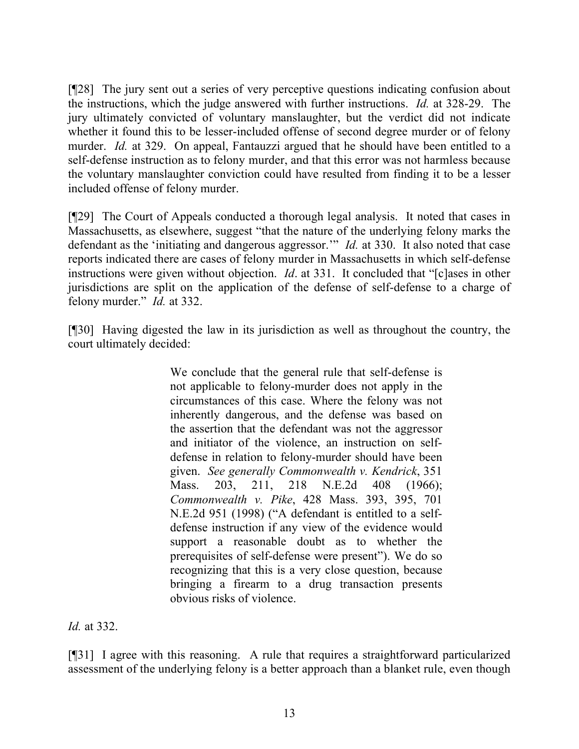[¶28] The jury sent out a series of very perceptive questions indicating confusion about the instructions, which the judge answered with further instructions. *Id.* at 328-29. The jury ultimately convicted of voluntary manslaughter, but the verdict did not indicate whether it found this to be lesser-included offense of second degree murder or of felony murder. *Id.* at 329. On appeal, Fantauzzi argued that he should have been entitled to a self-defense instruction as to felony murder, and that this error was not harmless because the voluntary manslaughter conviction could have resulted from finding it to be a lesser included offense of felony murder.

[¶29] The Court of Appeals conducted a thorough legal analysis. It noted that cases in Massachusetts, as elsewhere, suggest "that the nature of the underlying felony marks the defendant as the 'initiating and dangerous aggressor.'" *Id.* at 330. It also noted that case reports indicated there are cases of felony murder in Massachusetts in which self-defense instructions were given without objection. *Id*. at 331. It concluded that "[c]ases in other jurisdictions are split on the application of the defense of self-defense to a charge of felony murder." *Id.* at 332.

[¶30] Having digested the law in its jurisdiction as well as throughout the country, the court ultimately decided:

> We conclude that the general rule that self-defense is not applicable to felony-murder does not apply in the circumstances of this case. Where the felony was not inherently dangerous, and the defense was based on the assertion that the defendant was not the aggressor and initiator of the violence, an instruction on selfdefense in relation to felony-murder should have been given. *See generally Commonwealth v. Kendrick*, 351 Mass. 203, 211, 218 N.E.2d 408 (1966); *Commonwealth v. Pike*, 428 Mass. 393, 395, 701 N.E.2d 951 (1998) ("A defendant is entitled to a selfdefense instruction if any view of the evidence would support a reasonable doubt as to whether the prerequisites of self-defense were present"). We do so recognizing that this is a very close question, because bringing a firearm to a drug transaction presents obvious risks of violence.

*Id.* at 332.

[¶31] I agree with this reasoning. A rule that requires a straightforward particularized assessment of the underlying felony is a better approach than a blanket rule, even though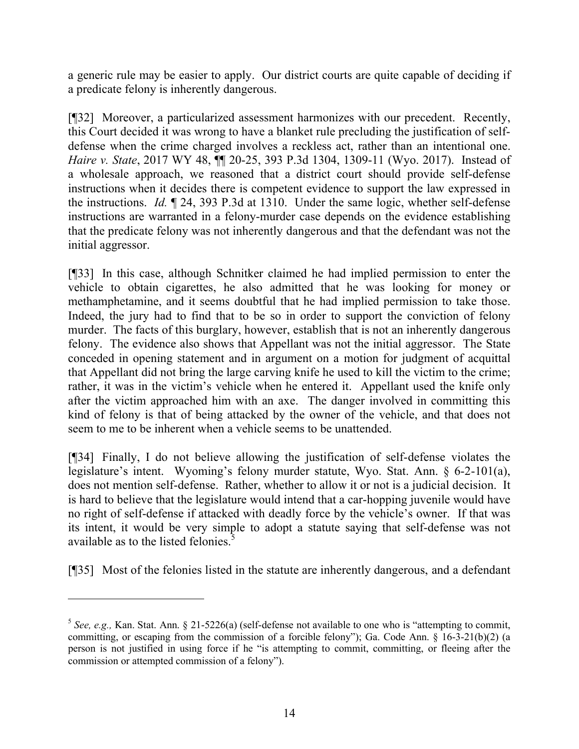a generic rule may be easier to apply. Our district courts are quite capable of deciding if a predicate felony is inherently dangerous.

[¶32] Moreover, a particularized assessment harmonizes with our precedent. Recently, this Court decided it was wrong to have a blanket rule precluding the justification of selfdefense when the crime charged involves a reckless act, rather than an intentional one. *Haire v. State*, 2017 WY 48,  $\P$  20-25, 393 P.3d 1304, 1309-11 (Wyo. 2017). Instead of a wholesale approach, we reasoned that a district court should provide self-defense instructions when it decides there is competent evidence to support the law expressed in the instructions. *Id.* ¶ 24, 393 P.3d at 1310. Under the same logic, whether self-defense instructions are warranted in a felony-murder case depends on the evidence establishing that the predicate felony was not inherently dangerous and that the defendant was not the initial aggressor.

[¶33] In this case, although Schnitker claimed he had implied permission to enter the vehicle to obtain cigarettes, he also admitted that he was looking for money or methamphetamine, and it seems doubtful that he had implied permission to take those. Indeed, the jury had to find that to be so in order to support the conviction of felony murder. The facts of this burglary, however, establish that is not an inherently dangerous felony. The evidence also shows that Appellant was not the initial aggressor. The State conceded in opening statement and in argument on a motion for judgment of acquittal that Appellant did not bring the large carving knife he used to kill the victim to the crime; rather, it was in the victim's vehicle when he entered it. Appellant used the knife only after the victim approached him with an axe. The danger involved in committing this kind of felony is that of being attacked by the owner of the vehicle, and that does not seem to me to be inherent when a vehicle seems to be unattended.

[¶34] Finally, I do not believe allowing the justification of self-defense violates the legislature's intent. Wyoming's felony murder statute, Wyo. Stat. Ann. § 6-2-101(a), does not mention self-defense. Rather, whether to allow it or not is a judicial decision. It is hard to believe that the legislature would intend that a car-hopping juvenile would have no right of self-defense if attacked with deadly force by the vehicle's owner. If that was its intent, it would be very simple to adopt a statute saying that self-defense was not available as to the listed felonies. $\frac{5}{5}$ 

[¶35] Most of the felonies listed in the statute are inherently dangerous, and a defendant

 $\overline{a}$ 

<sup>&</sup>lt;sup>5</sup> See, e.g., Kan. Stat. Ann. § 21-5226(a) (self-defense not available to one who is "attempting to commit, committing, or escaping from the commission of a forcible felony"); Ga. Code Ann. § 16-3-21(b)(2) (a person is not justified in using force if he "is attempting to commit, committing, or fleeing after the commission or attempted commission of a felony").